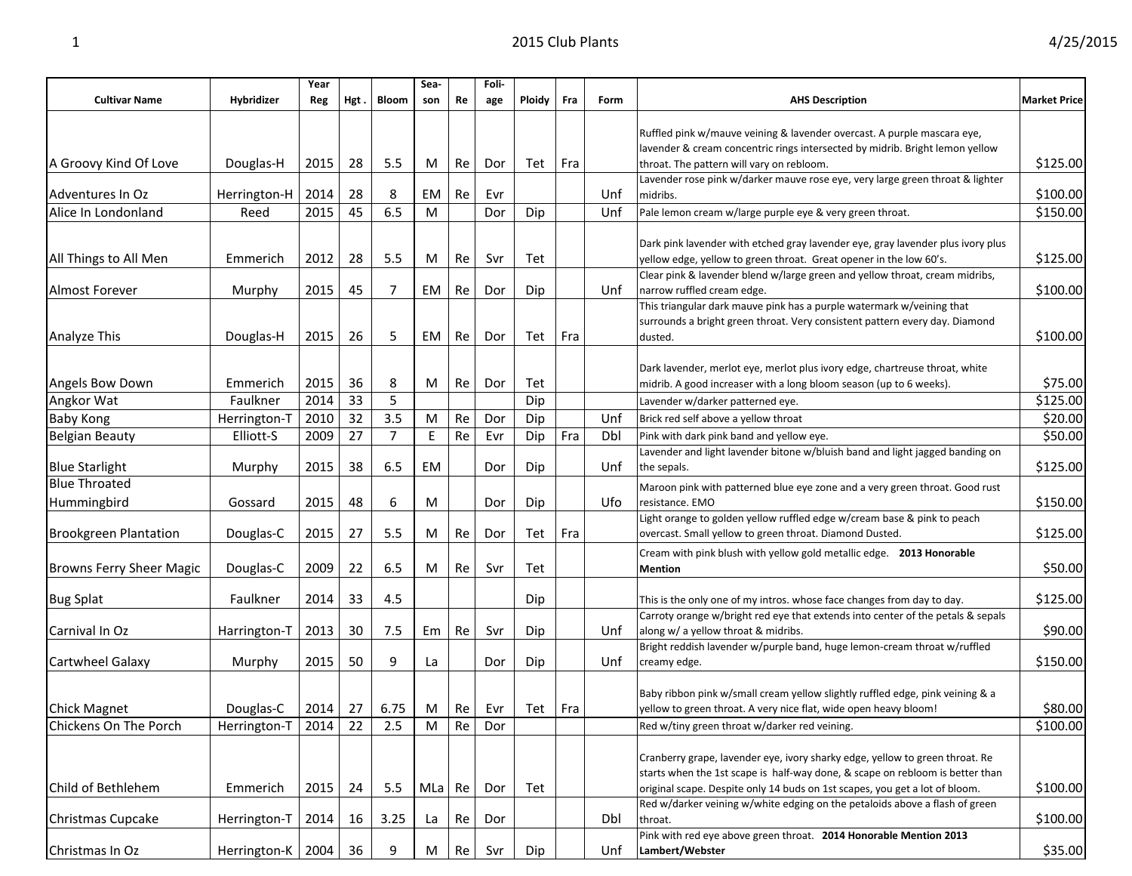|                                     |                     | Year |      |              | Sea-     |    | Foli- |        |     |      |                                                                                                                                                                 |                     |
|-------------------------------------|---------------------|------|------|--------------|----------|----|-------|--------|-----|------|-----------------------------------------------------------------------------------------------------------------------------------------------------------------|---------------------|
| <b>Cultivar Name</b>                | Hybridizer          | Reg  | Hgt. | <b>Bloom</b> | son      | Re | age   | Ploidy | Fra | Form | <b>AHS Description</b>                                                                                                                                          | <b>Market Price</b> |
|                                     |                     |      |      |              |          |    |       |        |     |      | Ruffled pink w/mauve veining & lavender overcast. A purple mascara eye,<br>lavender & cream concentric rings intersected by midrib. Bright lemon yellow         |                     |
| A Groovy Kind Of Love               | Douglas-H           | 2015 | 28   | 5.5          | M        | Re | Dor   | Tet    | Fra |      | throat. The pattern will vary on rebloom.                                                                                                                       | \$125.00            |
| Adventures In Oz                    | Herrington-H        | 2014 | 28   | 8            | EM       | Re | Evr   |        |     | Unf  | Lavender rose pink w/darker mauve rose eye, very large green throat & lighter<br>midribs.                                                                       | \$100.00            |
| Alice In Londonland                 | Reed                | 2015 | 45   | 6.5          | M        |    | Dor   | Dip    |     | Unf  | Pale lemon cream w/large purple eye & very green throat.                                                                                                        | \$150.00            |
|                                     |                     |      |      |              |          |    |       |        |     |      |                                                                                                                                                                 |                     |
| All Things to All Men               | Emmerich            | 2012 | 28   | 5.5          | M        | Re | Svr   | Tet    |     |      | Dark pink lavender with etched gray lavender eye, gray lavender plus ivory plus<br>yellow edge, yellow to green throat. Great opener in the low 60's.           | \$125.00            |
| <b>Almost Forever</b>               | Murphy              | 2015 | 45   | 7            | EM       | Re | Dor   | Dip    |     | Unf  | Clear pink & lavender blend w/large green and yellow throat, cream midribs,<br>narrow ruffled cream edge.                                                       | \$100.00            |
| Analyze This                        | Douglas-H           | 2015 | 26   | 5            | EM       | Re | Dor   | Tet    | Fra |      | This triangular dark mauve pink has a purple watermark w/veining that<br>surrounds a bright green throat. Very consistent pattern every day. Diamond<br>dusted. | \$100.00            |
| Angels Bow Down                     | Emmerich            | 2015 | 36   | 8            | M        | Re | Dor   | Tet    |     |      | Dark lavender, merlot eye, merlot plus ivory edge, chartreuse throat, white<br>midrib. A good increaser with a long bloom season (up to 6 weeks).               | \$75.00             |
| Angkor Wat                          | Faulkner            | 2014 | 33   | 5            |          |    |       | Dip    |     |      | Lavender w/darker patterned eye.                                                                                                                                | \$125.00            |
| Baby Kong                           | Herrington-T        | 2010 | 32   | 3.5          | M        | Re | Dor   | Dip    |     | Unf  | Brick red self above a yellow throat                                                                                                                            | \$20.00             |
| <b>Belgian Beauty</b>               | Elliott-S           | 2009 | 27   | 7            | Ε        | Re | Evr   | Dip    | Fra | Dbl  | Pink with dark pink band and yellow eye.                                                                                                                        | \$50.00             |
| <b>Blue Starlight</b>               | Murphy              | 2015 | 38   | 6.5          | EM       |    | Dor   | Dip    |     | Unf  | Lavender and light lavender bitone w/bluish band and light jagged banding on<br>the sepals.                                                                     | \$125.00            |
| <b>Blue Throated</b><br>Hummingbird | Gossard             | 2015 | 48   | 6            | M        |    | Dor   | Dip    |     | Ufo  | Maroon pink with patterned blue eye zone and a very green throat. Good rust<br>resistance. EMO                                                                  | \$150.00            |
| <b>Brookgreen Plantation</b>        | Douglas-C           | 2015 | 27   | 5.5          | M        | Re | Dor   | Tet    | Fra |      | Light orange to golden yellow ruffled edge w/cream base & pink to peach<br>overcast. Small yellow to green throat. Diamond Dusted.                              | \$125.00            |
| Browns Ferry Sheer Magic            | Douglas-C           | 2009 | 22   | 6.5          | M        | Re | Svr   | Tet    |     |      | Cream with pink blush with yellow gold metallic edge. 2013 Honorable<br><b>Mention</b>                                                                          | \$50.00             |
| <b>Bug Splat</b>                    | Faulkner            | 2014 | 33   | 4.5          |          |    |       | Dip    |     |      | This is the only one of my intros. whose face changes from day to day.                                                                                          | \$125.00            |
| Carnival In Oz                      | Harrington-T        | 2013 | 30   | 7.5          | Em       | Re | Svr   | Dip    |     | Unf  | Carroty orange w/bright red eye that extends into center of the petals & sepals<br>along w/ a yellow throat & midribs.                                          | \$90.00             |
| Cartwheel Galaxy                    | Murphy              | 2015 | 50   | 9            | La       |    | Dor   | Dip    |     | Unf  | Bright reddish lavender w/purple band, huge lemon-cream throat w/ruffled<br>creamy edge.                                                                        | \$150.00            |
| <b>Chick Magnet</b>                 | Douglas-C           | 2014 | 27   | 6.75         | M        | Re | Evr   | Tet    | Fra |      | Baby ribbon pink w/small cream yellow slightly ruffled edge, pink veining & a<br>yellow to green throat. A very nice flat, wide open heavy bloom!               | \$80.00             |
| Chickens On The Porch               | Herrington-T   2014 |      | 22   | 2.5          | M        | Re | Dor   |        |     |      | Red w/tiny green throat w/darker red veining.                                                                                                                   | \$100.00            |
| Child of Bethlehem                  |                     | 2015 |      | 5.5          |          |    |       |        |     |      | Cranberry grape, lavender eye, ivory sharky edge, yellow to green throat. Re<br>starts when the 1st scape is half-way done, & scape on rebloom is better than   | \$100.00            |
|                                     | Emmerich            |      | 24   |              | $MLa$ Re |    | Dor   | Tet    |     |      | original scape. Despite only 14 buds on 1st scapes, you get a lot of bloom.<br>Red w/darker veining w/white edging on the petaloids above a flash of green      |                     |
| Christmas Cupcake                   | Herrington-T        | 2014 | 16   | 3.25         | La       | Re | Dor   |        |     | Dbl  | throat.                                                                                                                                                         | \$100.00            |
| Christmas In Oz                     | Herrington-K   2004 |      | 36   | 9            | M        | Re | Svr   | Dip    |     | Unf  | Pink with red eye above green throat. 2014 Honorable Mention 2013<br>Lambert/Webster                                                                            | \$35.00             |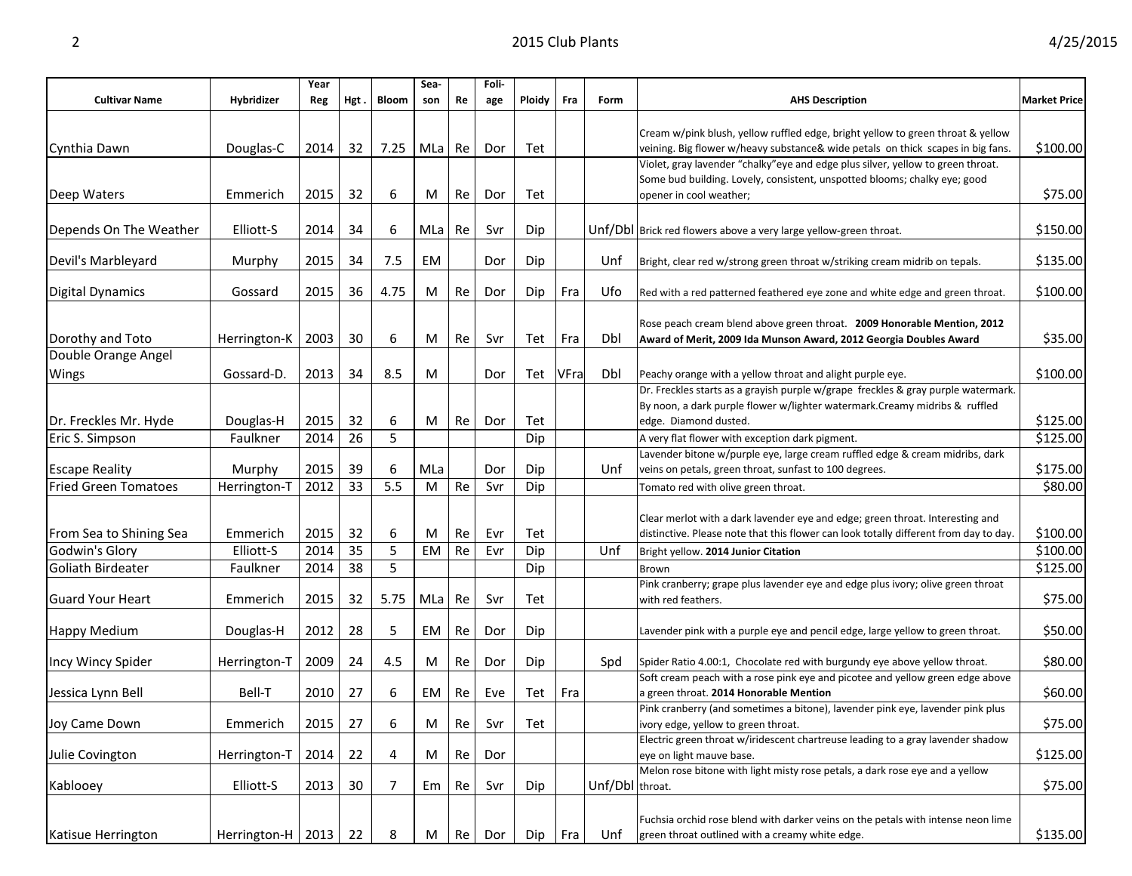|                             |                     | Year |      |              | Sea-  |    | Foli- |        |      |                 |                                                                                       |                     |
|-----------------------------|---------------------|------|------|--------------|-------|----|-------|--------|------|-----------------|---------------------------------------------------------------------------------------|---------------------|
| <b>Cultivar Name</b>        | Hybridizer          | Reg  | Hgt. | <b>Bloom</b> | son   | Re | age   | Ploidy | Fra  | Form            | <b>AHS Description</b>                                                                | <b>Market Price</b> |
|                             |                     |      |      |              |       |    |       |        |      |                 |                                                                                       |                     |
|                             |                     |      |      |              |       |    |       |        |      |                 | Cream w/pink blush, yellow ruffled edge, bright yellow to green throat & yellow       |                     |
| Cynthia Dawn                | Douglas-C           | 2014 | 32   | 7.25         | MLa   | Re | Dor   | Tet    |      |                 | veining. Big flower w/heavy substance& wide petals on thick scapes in big fans.       | \$100.00            |
|                             |                     |      |      |              |       |    |       |        |      |                 | Violet, gray lavender "chalky" eye and edge plus silver, yellow to green throat.      |                     |
|                             |                     |      |      |              |       |    |       |        |      |                 | Some bud building. Lovely, consistent, unspotted blooms; chalky eye; good             |                     |
| Deep Waters                 | Emmerich            | 2015 | 32   | 6            | M     | Re | Dor   | Tet    |      |                 | opener in cool weather;                                                               | \$75.00             |
|                             |                     |      |      |              |       |    |       |        |      |                 |                                                                                       |                     |
| Depends On The Weather      | Elliott-S           | 2014 | 34   | 6            | MLa l | Re | Svr   | Dip    |      |                 | Unf/Dbl Brick red flowers above a very large yellow-green throat.                     | \$150.00            |
|                             |                     |      |      |              |       |    |       |        |      |                 |                                                                                       |                     |
| Devil's Marbleyard          | Murphy              | 2015 | 34   | 7.5          | EM    |    | Dor   | Dip    |      | Unf             | Bright, clear red w/strong green throat w/striking cream midrib on tepals.            | \$135.00            |
| <b>Digital Dynamics</b>     | Gossard             | 2015 | 36   | 4.75         | M     | Re | Dor   | Dip    | Fra  | Ufo             | Red with a red patterned feathered eye zone and white edge and green throat.          | \$100.00            |
|                             |                     |      |      |              |       |    |       |        |      |                 |                                                                                       |                     |
|                             |                     |      |      |              |       |    |       |        |      |                 | Rose peach cream blend above green throat. 2009 Honorable Mention, 2012               |                     |
| Dorothy and Toto            | Herrington-K        | 2003 | 30   | 6            | M     | Re | Svr   | Tet    | Fra  | Dbl             | Award of Merit, 2009 Ida Munson Award, 2012 Georgia Doubles Award                     | \$35.00             |
| Double Orange Angel         |                     |      |      |              |       |    |       |        |      |                 |                                                                                       |                     |
| Wings                       | Gossard-D           | 2013 | 34   | 8.5          | M     |    | Dor   | Tet    | VFra | Dbl             | Peachy orange with a yellow throat and alight purple eye.                             | \$100.00            |
|                             |                     |      |      |              |       |    |       |        |      |                 | Dr. Freckles starts as a grayish purple w/grape freckles & gray purple watermark.     |                     |
|                             |                     |      |      |              |       |    |       |        |      |                 | By noon, a dark purple flower w/lighter watermark. Creamy midribs & ruffled           |                     |
| Dr. Freckles Mr. Hyde       | Douglas-H           | 2015 | 32   | 6            | M     | Re | Dor   | Tet    |      |                 | edge. Diamond dusted.                                                                 | \$125.00            |
| Eric S. Simpson             | Faulkner            | 2014 | 26   | 5            |       |    |       | Dip    |      |                 | A very flat flower with exception dark pigment.                                       | \$125.00            |
|                             |                     |      |      |              |       |    |       |        |      |                 | Lavender bitone w/purple eye, large cream ruffled edge & cream midribs, dark          |                     |
| <b>Escape Reality</b>       | Murphy              | 2015 | 39   | 6            | MLa   |    | Dor   | Dip    |      | Unf             | veins on petals, green throat, sunfast to 100 degrees.                                | \$175.00            |
| <b>Fried Green Tomatoes</b> | Herrington-T        | 2012 | 33   | 5.5          | M     | Re | Svr   | Dip    |      |                 | Tomato red with olive green throat.                                                   | \$80.00             |
|                             |                     |      |      |              |       |    |       |        |      |                 |                                                                                       |                     |
|                             |                     |      |      |              |       |    |       |        |      |                 | Clear merlot with a dark lavender eye and edge; green throat. Interesting and         |                     |
| From Sea to Shining Sea     | Emmerich            | 2015 | 32   | 6            | M     | Re | Evr   | Tet    |      |                 | distinctive. Please note that this flower can look totally different from day to day. | \$100.00            |
| Godwin's Glory              | Elliott-S           | 2014 | 35   | 5            | EM    | Re | Evr   | Dip    |      | Unf             | Bright yellow. 2014 Junior Citation                                                   | \$100.00            |
| Goliath Birdeater           | Faulkner            | 2014 | 38   | 5            |       |    |       | Dip    |      |                 | Brown                                                                                 | \$125.00            |
|                             |                     |      |      |              |       |    |       |        |      |                 | Pink cranberry; grape plus lavender eye and edge plus ivory; olive green throat       |                     |
| <b>Guard Your Heart</b>     | Emmerich            | 2015 | 32   | 5.75         | MLa   | Re | Svr   | Tet    |      |                 | with red feathers.                                                                    | \$75.00             |
|                             |                     |      |      |              |       |    |       |        |      |                 |                                                                                       |                     |
| <b>Happy Medium</b>         | Douglas-H           | 2012 | 28   | 5            | EM    | Re | Dor   | Dip    |      |                 | Lavender pink with a purple eye and pencil edge, large yellow to green throat.        | \$50.00             |
|                             |                     |      |      |              |       |    |       |        |      |                 |                                                                                       |                     |
| Incy Wincy Spider           | Herrington-T        | 2009 | 24   | 4.5          | M     | Re | Dor   | Dip    |      | Spd             | Spider Ratio 4.00:1, Chocolate red with burgundy eye above yellow throat.             | \$80.00             |
|                             |                     |      |      |              |       |    |       |        |      |                 | Soft cream peach with a rose pink eye and picotee and yellow green edge above         |                     |
| Jessica Lynn Bell           | Bell-T              | 2010 | 27   | 6            | EM    | Re | Eve   | Tet    | Fra  |                 | a green throat. 2014 Honorable Mention                                                | \$60.00             |
|                             |                     |      |      |              |       |    |       |        |      |                 | Pink cranberry (and sometimes a bitone), lavender pink eye, lavender pink plus        |                     |
| Joy Came Down               | Emmerich            | 2015 | 27   | 6            | M     | Re | Svr   | Tet    |      |                 | ivory edge, yellow to green throat.                                                   | \$75.00             |
|                             |                     |      |      |              |       |    |       |        |      |                 | Electric green throat w/iridescent chartreuse leading to a gray lavender shadow       |                     |
| Julie Covington             | Herrington-T        | 2014 | 22   | 4            | M     | Re | Dor   |        |      |                 | eye on light mauve base.                                                              | \$125.00            |
|                             |                     |      |      |              |       |    |       |        |      |                 | Melon rose bitone with light misty rose petals, a dark rose eye and a yellow          |                     |
| Kablooey                    | Elliott-S           | 2013 | 30   | 7            | Em    | Re | Svr   | Dip    |      | Unf/Dbl throat. |                                                                                       | \$75.00             |
|                             |                     |      |      |              |       |    |       |        |      |                 |                                                                                       |                     |
|                             |                     |      |      |              |       |    |       |        |      |                 | Fuchsia orchid rose blend with darker veins on the petals with intense neon lime      |                     |
| Katisue Herrington          | Herrington-H   2013 |      | 22   | 8            | M     | Re | Dor   | Dip    | Fra  | Unf             | green throat outlined with a creamy white edge.                                       | \$135.00            |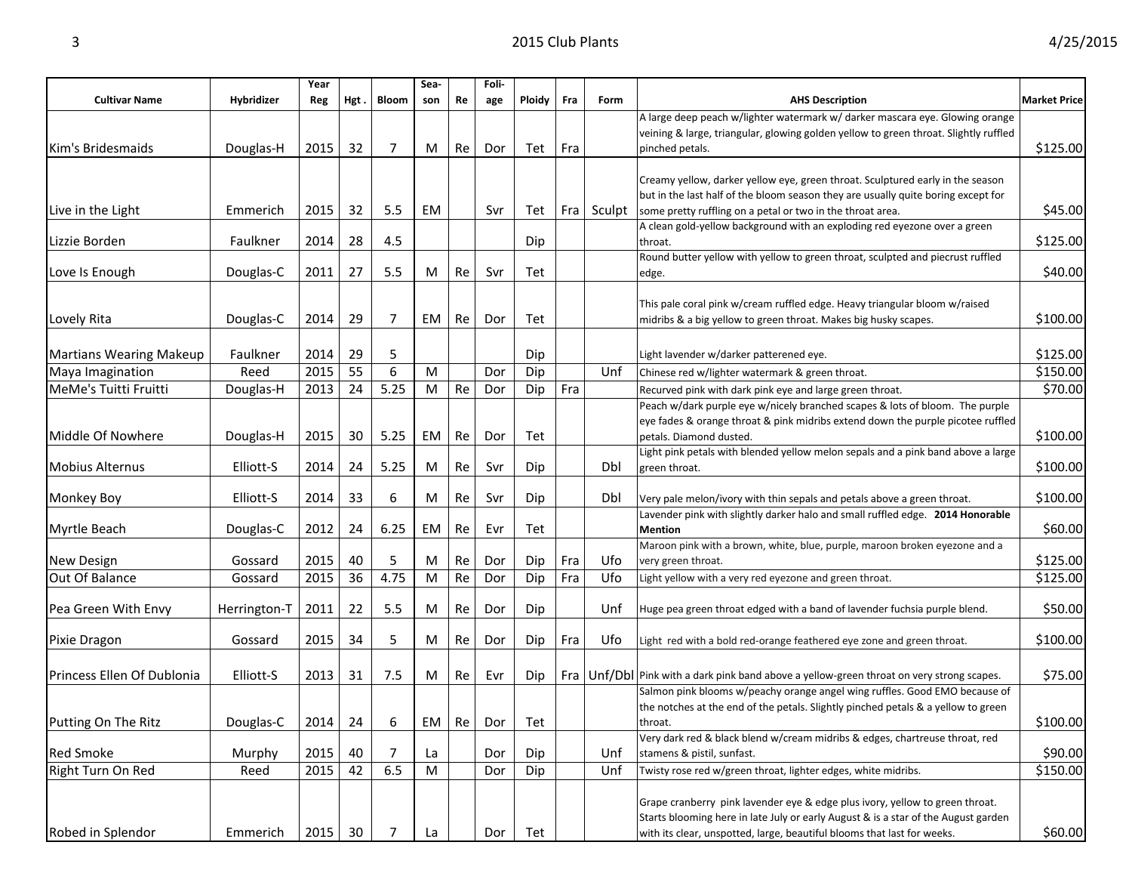|                                |              | Year |      |              | Sea- |    | Foli- |               |     |        |                                                                                               |                     |
|--------------------------------|--------------|------|------|--------------|------|----|-------|---------------|-----|--------|-----------------------------------------------------------------------------------------------|---------------------|
| <b>Cultivar Name</b>           | Hybridizer   | Reg  | Hgt. | <b>Bloom</b> | son  | Re | age   | <b>Ploidy</b> | Fra | Form   | <b>AHS Description</b>                                                                        | <b>Market Price</b> |
|                                |              |      |      |              |      |    |       |               |     |        | A large deep peach w/lighter watermark w/ darker mascara eye. Glowing orange                  |                     |
|                                |              |      |      |              |      |    |       |               |     |        | veining & large, triangular, glowing golden yellow to green throat. Slightly ruffled          |                     |
| Kim's Bridesmaids              | Douglas-H    | 2015 | 32   | 7            | M    | Re | Dor   | Tet           | Fra |        | pinched petals.                                                                               | \$125.00            |
|                                |              |      |      |              |      |    |       |               |     |        |                                                                                               |                     |
|                                |              |      |      |              |      |    |       |               |     |        | Creamy yellow, darker yellow eye, green throat. Sculptured early in the season                |                     |
|                                |              |      |      |              |      |    |       |               |     |        | but in the last half of the bloom season they are usually quite boring except for             |                     |
| Live in the Light              | Emmerich     | 2015 | 32   | 5.5          | EM   |    | Svr   | Tet           | Fra | Sculpt | some pretty ruffling on a petal or two in the throat area.                                    | \$45.00             |
| Lizzie Borden                  | Faulkner     | 2014 | 28   | 4.5          |      |    |       |               |     |        | A clean gold-yellow background with an exploding red eyezone over a green                     | \$125.00            |
|                                |              |      |      |              |      |    |       | Dip           |     |        | throat.<br>Round butter yellow with yellow to green throat, sculpted and piecrust ruffled     |                     |
| Love Is Enough                 | Douglas-C    | 2011 | 27   | 5.5          | M    | Re | Svr   | Tet           |     |        | edge.                                                                                         | \$40.00             |
|                                |              |      |      |              |      |    |       |               |     |        |                                                                                               |                     |
|                                |              |      |      |              |      |    |       |               |     |        | This pale coral pink w/cream ruffled edge. Heavy triangular bloom w/raised                    |                     |
| Lovely Rita                    | Douglas-C    | 2014 | 29   | 7            | EM   | Re | Dor   | Tet           |     |        | midribs & a big yellow to green throat. Makes big husky scapes.                               | \$100.00            |
|                                |              |      |      |              |      |    |       |               |     |        |                                                                                               |                     |
| <b>Martians Wearing Makeup</b> | Faulkner     | 2014 | 29   | 5            |      |    |       | Dip           |     |        | Light lavender w/darker patterened eye.                                                       | \$125.00            |
|                                | Reed         | 2015 | 55   | 6            | M    |    |       |               |     | Unf    | Chinese red w/lighter watermark & green throat.                                               | \$150.00            |
| Maya Imagination               |              |      |      |              |      |    | Dor   | Dip           |     |        |                                                                                               |                     |
| MeMe's Tuitti Fruitti          | Douglas-H    | 2013 | 24   | 5.25         | M    | Re | Dor   | Dip           | Fra |        | Recurved pink with dark pink eye and large green throat.                                      | \$70.00             |
|                                |              |      |      |              |      |    |       |               |     |        | Peach w/dark purple eye w/nicely branched scapes & lots of bloom. The purple                  |                     |
|                                |              |      |      |              |      |    |       |               |     |        | eye fades & orange throat & pink midribs extend down the purple picotee ruffled               |                     |
| Middle Of Nowhere              | Douglas-H    | 2015 | 30   | 5.25         | EM   | Re | Dor   | Tet           |     |        | petals. Diamond dusted.                                                                       | \$100.00            |
| <b>Mobius Alternus</b>         | Elliott-S    | 2014 | 24   | 5.25         | M    | Re | Svr   | Dip           |     | Dbl    | Light pink petals with blended yellow melon sepals and a pink band above a large              | \$100.00            |
|                                |              |      |      |              |      |    |       |               |     |        | green throat.                                                                                 |                     |
| Monkey Boy                     | Elliott-S    | 2014 | 33   | 6            | M    | Re | Svr   | Dip           |     | Dbl    | Very pale melon/ivory with thin sepals and petals above a green throat.                       | \$100.00            |
|                                |              |      |      |              |      |    |       |               |     |        | Lavender pink with slightly darker halo and small ruffled edge. 2014 Honorable                |                     |
| <b>Myrtle Beach</b>            | Douglas-C    | 2012 | 24   | 6.25         | EM   | Re | Evr   | Tet           |     |        | <b>Mention</b>                                                                                | \$60.00             |
|                                |              |      |      |              |      |    |       |               |     |        | Maroon pink with a brown, white, blue, purple, maroon broken eyezone and a                    |                     |
| New Design                     | Gossard      | 2015 | 40   | 5            | M    | Re | Dor   | Dip           | Fra | Ufo    | very green throat.                                                                            | \$125.00            |
| Out Of Balance                 | Gossard      | 2015 | 36   | 4.75         | M    | Re | Dor   | Dip           | Fra | Ufo    | Light yellow with a very red eyezone and green throat.                                        | \$125.00            |
|                                |              |      |      |              |      |    |       |               |     |        |                                                                                               |                     |
| Pea Green With Envy            | Herrington-T | 2011 | 22   | 5.5          | M    | Re | Dor   | Dip           |     | Unf    | Huge pea green throat edged with a band of lavender fuchsia purple blend.                     | \$50.00             |
|                                |              |      |      |              |      |    |       |               |     |        |                                                                                               |                     |
| Pixie Dragon                   | Gossard      | 2015 | 34   | 5            | M    | Re | Dor   | Dip           | Fra | Ufo    | Light red with a bold red-orange feathered eye zone and green throat.                         | \$100.00            |
|                                |              |      |      |              |      |    |       |               |     |        |                                                                                               |                     |
| Princess Ellen Of Dublonia     | Elliott-S    | 2013 | 31   | 7.5          | M    | Re | Evr   | Dip           |     |        | Fra $ Unf/Dbl $ Pink with a dark pink band above a yellow-green throat on very strong scapes. | \$75.00             |
|                                |              |      |      |              |      |    |       |               |     |        | Salmon pink blooms w/peachy orange angel wing ruffles. Good EMO because of                    |                     |
|                                |              |      |      |              |      |    |       |               |     |        | the notches at the end of the petals. Slightly pinched petals & a yellow to green             |                     |
| Putting On The Ritz            | Douglas-C    | 2014 | 24   | 6            | EM   | Re | Dor   | Tet           |     |        | throat.                                                                                       | \$100.00            |
|                                |              |      |      |              |      |    |       |               |     |        | Very dark red & black blend w/cream midribs & edges, chartreuse throat, red                   |                     |
| <b>Red Smoke</b>               | Murphy       | 2015 | 40   | 7            | La   |    | Dor   | Dip           |     | Unf    | stamens & pistil, sunfast.                                                                    | \$90.00             |
| Right Turn On Red              | Reed         | 2015 | 42   | 6.5          | M    |    | Dor   | Dip           |     | Unf    | Twisty rose red w/green throat, lighter edges, white midribs.                                 | \$150.00            |
|                                |              |      |      |              |      |    |       |               |     |        |                                                                                               |                     |
|                                |              |      |      |              |      |    |       |               |     |        | Grape cranberry pink lavender eye & edge plus ivory, yellow to green throat.                  |                     |
|                                |              |      |      |              |      |    |       |               |     |        | Starts blooming here in late July or early August & is a star of the August garden            |                     |
| Robed in Splendor              | Emmerich     | 2015 | 30   | 7            | La   |    | Dor   | Tet           |     |        | with its clear, unspotted, large, beautiful blooms that last for weeks.                       | \$60.00             |